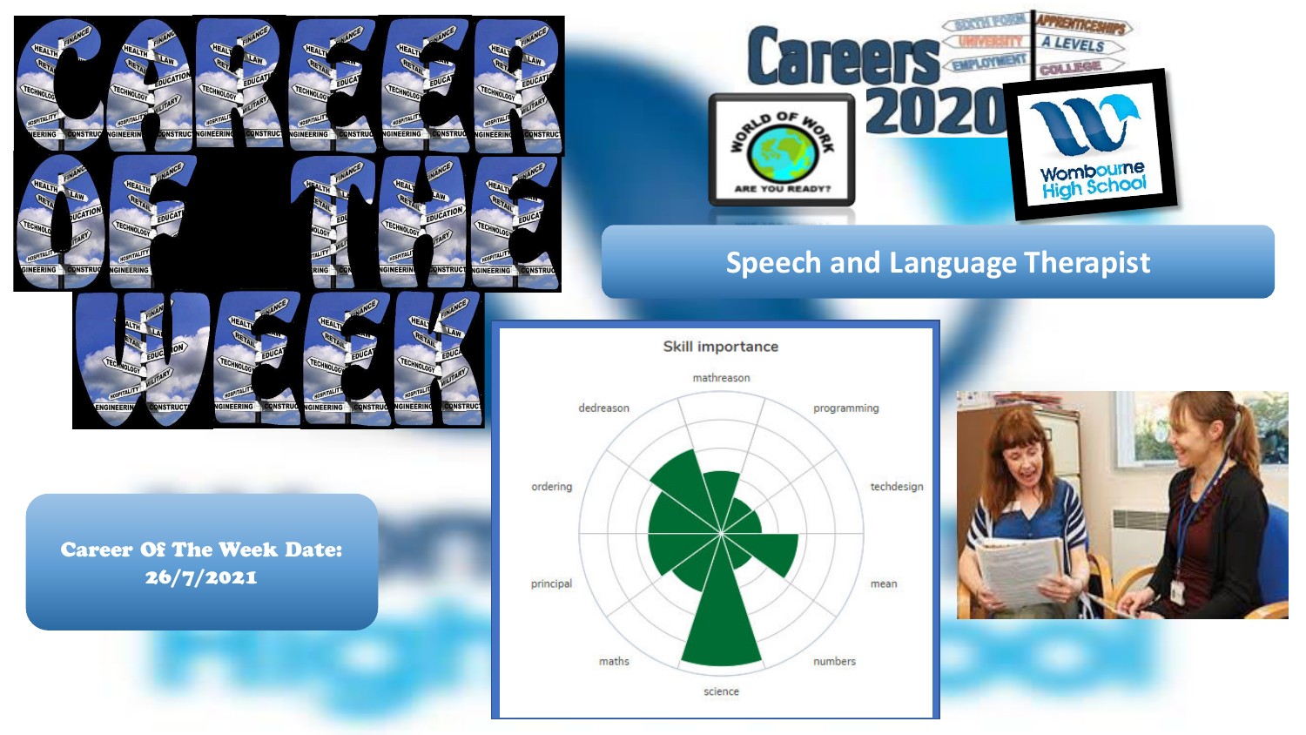

**SINEERING** 

**INSTRU** 

Career Of The Week Date: 26/7/2021

**DNSTRUG** 



# **Speech and Language Therapist**



science

numbers

ordering

principal

maths



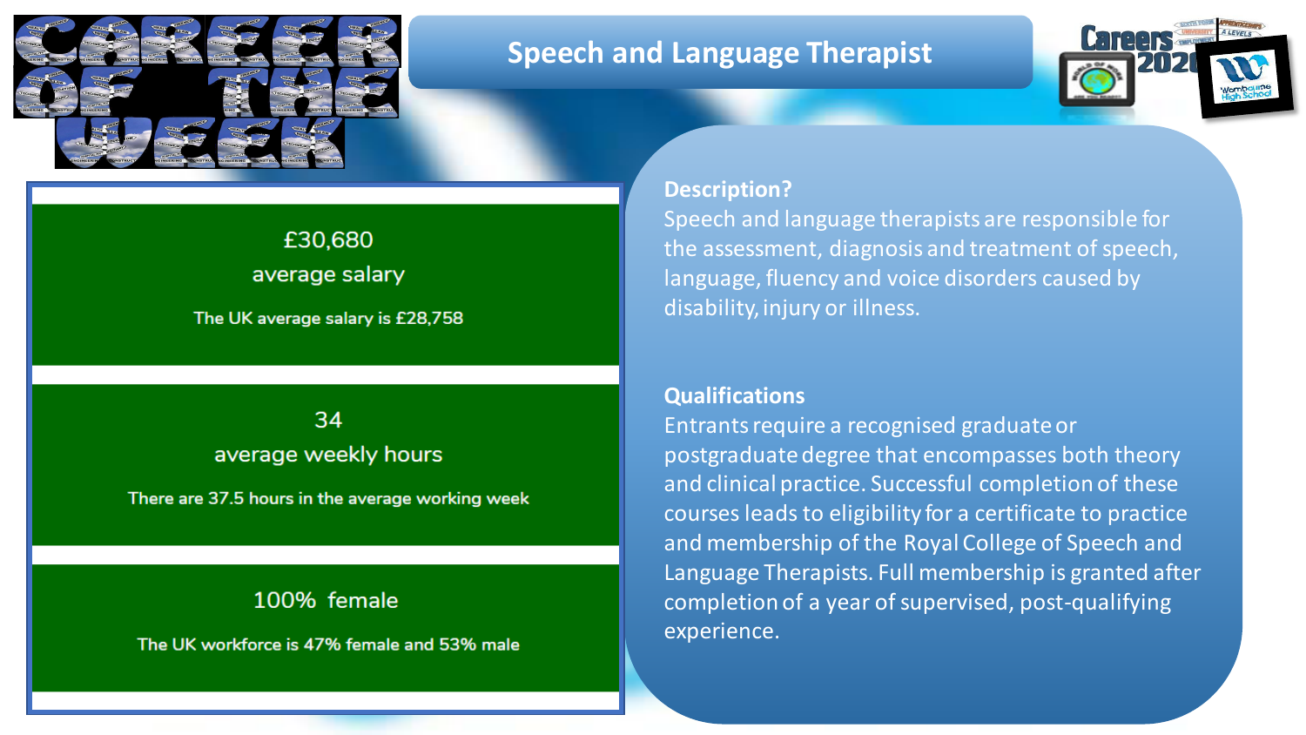

### **Speech and Language Therapist**



# £30,680 average salary

The UK average salary is £28,758

### 34 average weekly hours

There are 37.5 hours in the average working week

### 100% female

The UK workforce is 47% female and 53% male

#### **Description?**

Speech and language therapists are responsible for the assessment, diagnosis and treatment of speech, language, fluency and voice disorders caused by disability, injury or illness.

#### **Qualifications**

Entrants require a recognised graduate or postgraduate degree that encompasses both theory and clinical practice. Successful completion of these courses leads to eligibility for a certificate to practice and membership of the Royal College of Speech and Language Therapists. Full membership is granted after completion of a year of supervised, post-qualifying experience.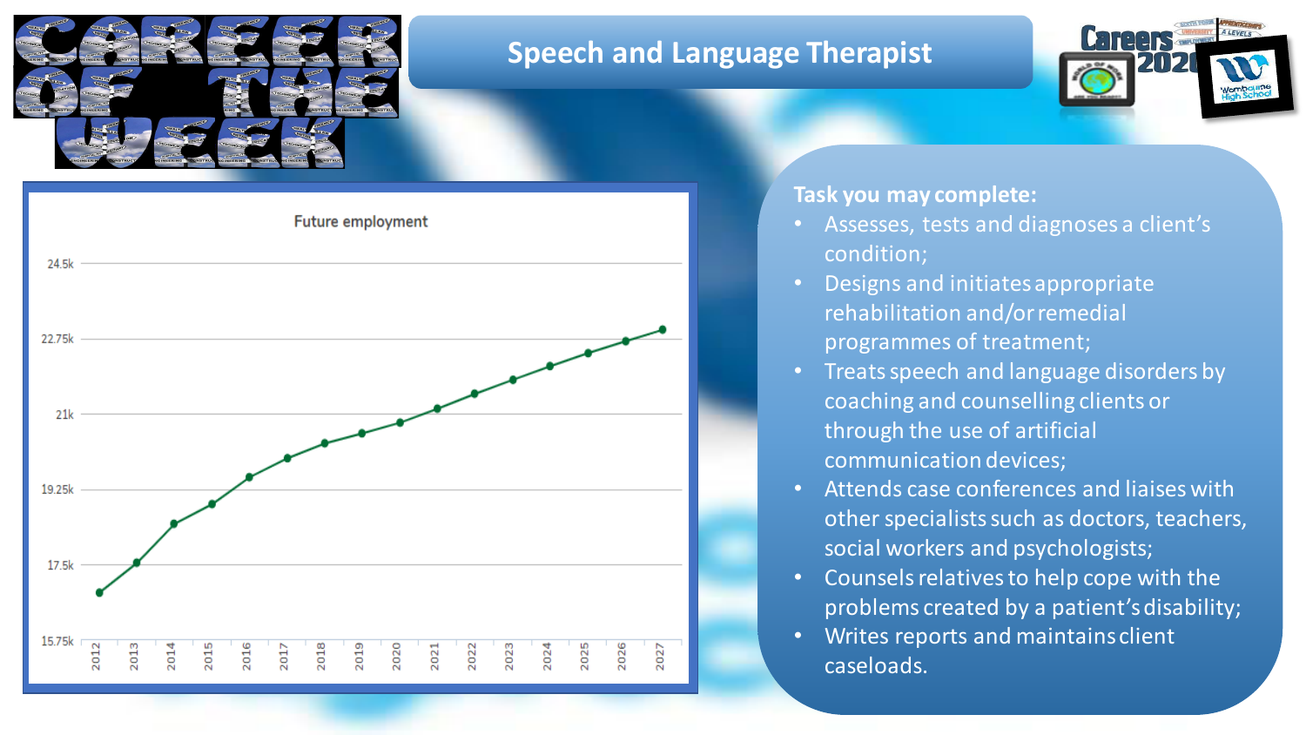

## **Speech and Language Therapist**





### **Task you may complete:**

- Assesses, tests and diagnoses a client's condition;
- Designs and initiates appropriate rehabilitation and/or remedial programmes of treatment;
- Treats speech and language disorders by coaching and counselling clients or through the use of artificial communication devices;
- Attends case conferences and liaises with other specialists such as doctors, teachers, social workers and psychologists;
- Counsels relatives to help cope with the problems created by a patient's disability;
- Writes reports and maintains client caseloads.